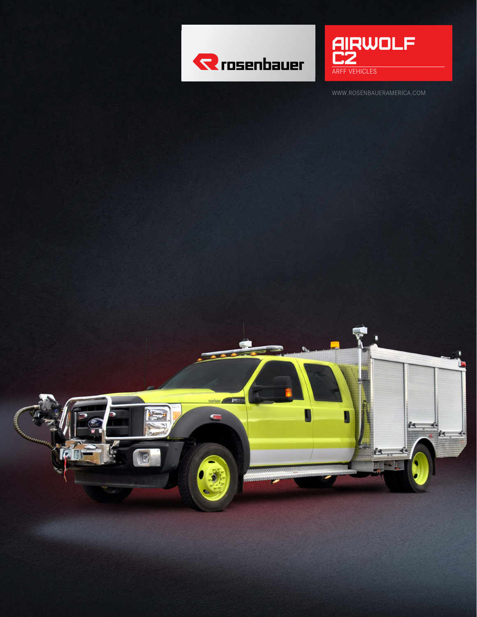



WWW.ROSENBAUERAMERICA.COM